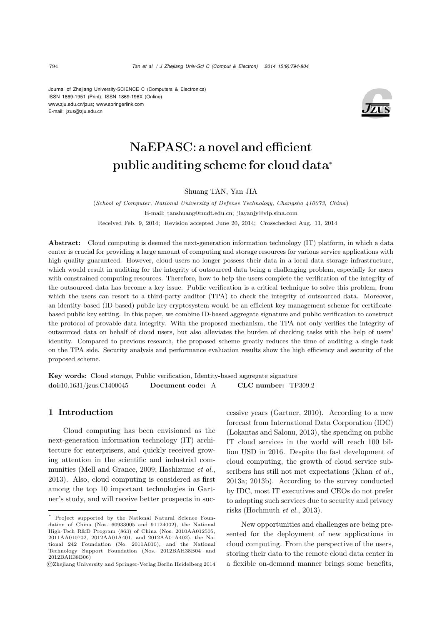Journal of Zhejiang University-SCIENCE C (Computers & Electronics) ISSN 1869-1951 (Print); ISSN 1869-196X (Online) www.zju.edu.cn/jzus; www.springerlink.com E-mail: jzus@zju.edu.cn



# NaEPASC: a novel and efficient public auditing scheme for cloud data<sup>∗</sup>

Shuang TAN, Yan JIA

(*School of Computer, National University of Defense Technology, Changsha 410073, China*) E-mail: tanshuang@nudt.edu.cn; jiayanjy@vip.sina.com Received Feb. 9, 2014; Revision accepted June 20, 2014; Crosschecked Aug. 11, 2014

Abstract: Cloud computing is deemed the next-generation information technology (IT) platform, in which a data center is crucial for providing a large amount of computing and storage resources for various service applications with high quality guaranteed. However, cloud users no longer possess their data in a local data storage infrastructure, which would result in auditing for the integrity of outsourced data being a challenging problem, especially for users with constrained computing resources. Therefore, how to help the users complete the verification of the integrity of the outsourced data has become a key issue. Public verification is a critical technique to solve this problem, from which the users can resort to a third-party auditor (TPA) to check the integrity of outsourced data. Moreover, an identity-based (ID-based) public key cryptosystem would be an efficient key management scheme for certificatebased public key setting. In this paper, we combine ID-based aggregate signature and public verification to construct the protocol of provable data integrity. With the proposed mechanism, the TPA not only verifies the integrity of outsourced data on behalf of cloud users, but also alleviates the burden of checking tasks with the help of users' identity. Compared to previous research, the proposed scheme greatly reduces the time of auditing a single task on the TPA side. Security analysis and performance evaluation results show the high efficiency and security of the proposed scheme.

Key words: Cloud storage, Public verification, Identity-based aggregate signature doi:10.1631/jzus.C1400045 Document code: A CLC number: TP309.2

## 1 Introduction

Cloud computing has been envisioned as the next-generation information technology (IT) architecture for enterprisers, and quickly received growing attention in the scientific and industrial communities (Mell and Grance, 2009; Hashizume *et al.*, 2013). Also, cloud computing is considered as first among the top 10 important technologies in Gartner's study, and will receive better prospects in successive years (Gartner, 2010). According to a new forecast from International Data Corporation (IDC) (Lokantas and Salonu, 2013), the spending on public IT cloud services in the world will reach 100 billion USD in 2016. Despite the fast development of cloud computing, the growth of cloud service subscribers has still not met expectations (Khan *et al.*, 2013a; 2013b). According to the survey conducted by IDC, most IT executives and CEOs do not prefer to adopting such services due to security and privacy risks (Hochmuth *et al.*, 2013).

New opportunities and challenges are being presented for the deployment of new applications in cloud computing. From the perspective of the users, storing their data to the remote cloud data center in a flexible on-demand manner brings some benefits,

Project supported by the National Natural Science Foundation of China (Nos. 60933005 and 91124002), the National High-Tech R&D Program (863) of China (Nos. 2010AA012505, 2011AA010702, 2012AA01A401, and 2012AA01A402), the National 242 Foundation (No. 2011A010), and the National Technology Support Foundation (Nos. 2012BAH38B04 and 2012BAH38B06)

c Zhejiang University and Springer-Verlag Berlin Heidelberg 2014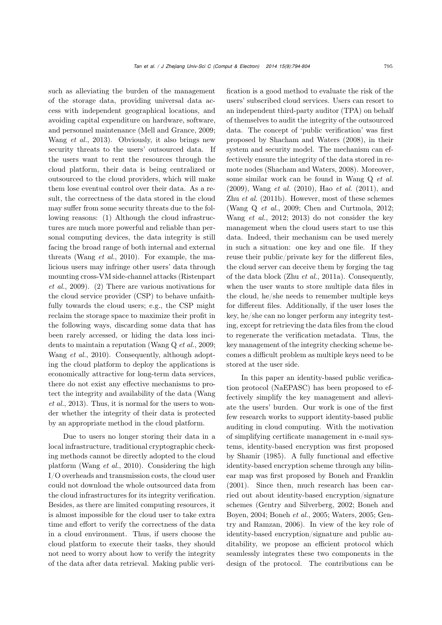such as alleviating the burden of the management of the storage data, providing universal data access with independent geographical locations, and avoiding capital expenditure on hardware, software, and personnel maintenance (Mell and Grance, 2009; Wang *et al.*, 2013). Obviously, it also brings new security threats to the users' outsourced data. If the users want to rent the resources through the cloud platform, their data is being centralized or outsourced to the cloud providers, which will make them lose eventual control over their data. As a result, the correctness of the data stored in the cloud may suffer from some security threats due to the following reasons: (1) Although the cloud infrastructures are much more powerful and reliable than personal computing devices, the data integrity is still facing the broad range of both internal and external threats (Wang *et al.*, 2010). For example, the malicious users may infringe other users' data through mounting cross-VM side-channel attacks (Ristenpart *et al.*, 2009). (2) There are various motivations for the cloud service provider (CSP) to behave unfaithfully towards the cloud users; e.g., the CSP might reclaim the storage space to maximize their profit in the following ways, discarding some data that has been rarely accessed, or hiding the data loss incidents to maintain a reputation (Wang Q *et al.*, 2009; Wang *et al.*, 2010). Consequently, although adopting the cloud platform to deploy the applications is economically attractive for long-term data services, there do not exist any effective mechanisms to protect the integrity and availability of the data (Wang *et al.*, 2013). Thus, it is normal for the users to wonder whether the integrity of their data is protected by an appropriate method in the cloud platform.

Due to users no longer storing their data in a local infrastructure, traditional cryptographic checking methods cannot be directly adopted to the cloud platform (Wang *et al.*, 2010). Considering the high I/O overheads and transmission costs, the cloud user could not download the whole outsourced data from the cloud infrastructures for its integrity verification. Besides, as there are limited computing resources, it is almost impossible for the cloud user to take extra time and effort to verify the correctness of the data in a cloud environment. Thus, if users choose the cloud platform to execute their tasks, they should not need to worry about how to verify the integrity of the data after data retrieval. Making public verification is a good method to evaluate the risk of the users' subscribed cloud services. Users can resort to an independent third-party auditor (TPA) on behalf of themselves to audit the integrity of the outsourced data. The concept of 'public verification' was first proposed by Shacham and Waters (2008), in their system and security model. The mechanism can effectively ensure the integrity of the data stored in remote nodes (Shacham and Waters, 2008). Moreover, some similar work can be found in Wang Q *et al.* (2009), Wang *et al.* (2010), Hao *et al.* (2011), and Zhu *et al.* (2011b). However, most of these schemes (Wang Q *et al.*, 2009; Chen and Curtmola, 2012; Wang *et al.*, 2012; 2013) do not consider the key management when the cloud users start to use this data. Indeed, their mechanism can be used merely in such a situation: one key and one file. If they reuse their public/private key for the different files, the cloud server can deceive them by forging the tag of the data block (Zhu *et al.*, 2011a). Consequently, when the user wants to store multiple data files in the cloud, he/she needs to remember multiple keys for different files. Additionally, if the user loses the key, he/she can no longer perform any integrity testing, except for retrieving the data files from the cloud to regenerate the verification metadata. Thus, the key management of the integrity checking scheme becomes a difficult problem as multiple keys need to be stored at the user side.

In this paper an identity-based public verification protocol (NaEPASC) has been proposed to effectively simplify the key management and alleviate the users' burden. Our work is one of the first few research works to support identity-based public auditing in cloud computing. With the motivation of simplifying certificate management in e-mail systems, identity-based encryption was first proposed by Shamir (1985). A fully functional and effective identity-based encryption scheme through any bilinear map was first proposed by Boneh and Franklin (2001). Since then, much research has been carried out about identity-based encryption/signature schemes (Gentry and Silverberg, 2002; Boneh and Boyen, 2004; Boneh *et al.*, 2005; Waters, 2005; Gentry and Ramzan, 2006). In view of the key role of identity-based encryption/signature and public auditability, we propose an efficient protocol which seamlessly integrates these two components in the design of the protocol. The contributions can be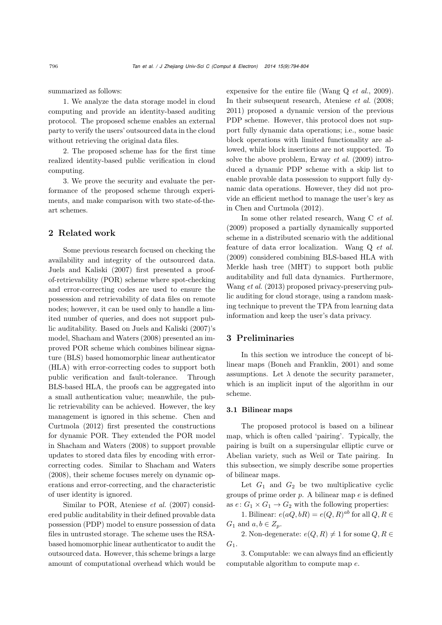summarized as follows:

1. We analyze the data storage model in cloud computing and provide an identity-based auditing protocol. The proposed scheme enables an external party to verify the users' outsourced data in the cloud without retrieving the original data files.

2. The proposed scheme has for the first time realized identity-based public verification in cloud computing.

3. We prove the security and evaluate the performance of the proposed scheme through experiments, and make comparison with two state-of-theart schemes.

# 2 Related work

Some previous research focused on checking the availability and integrity of the outsourced data. Juels and Kaliski (2007) first presented a proofof-retrievability (POR) scheme where spot-checking and error-correcting codes are used to ensure the possession and retrievability of data files on remote nodes; however, it can be used only to handle a limited number of queries, and does not support public auditability. Based on Juels and Kaliski (2007)'s model, Shacham and Waters (2008) presented an improved POR scheme which combines bilinear signature (BLS) based homomorphic linear authenticator (HLA) with error-correcting codes to support both public verification and fault-tolerance. Through BLS-based HLA, the proofs can be aggregated into a small authentication value; meanwhile, the public retrievability can be achieved. However, the key management is ignored in this scheme. Chen and Curtmola (2012) first presented the constructions for dynamic POR. They extended the POR model in Shacham and Waters (2008) to support provable updates to stored data files by encoding with errorcorrecting codes. Similar to Shacham and Waters (2008), their scheme focuses merely on dynamic operations and error-correcting, and the characteristic of user identity is ignored.

Similar to POR, Ateniese *et al.* (2007) considered public auditability in their defined provable data possession (PDP) model to ensure possession of data files in untrusted storage. The scheme uses the RSAbased homomorphic linear authenticator to audit the outsourced data. However, this scheme brings a large amount of computational overhead which would be

expensive for the entire file (Wang Q *et al.*, 2009). In their subsequent research, Ateniese *et al.* (2008; 2011) proposed a dynamic version of the previous PDP scheme. However, this protocol does not support fully dynamic data operations; i.e., some basic block operations with limited functionality are allowed, while block insertions are not supported. To solve the above problem, Erway *et al.* (2009) introduced a dynamic PDP scheme with a skip list to enable provable data possession to support fully dynamic data operations. However, they did not provide an efficient method to manage the user's key as in Chen and Curtmola (2012).

In some other related research, Wang C *et al.* (2009) proposed a partially dynamically supported scheme in a distributed scenario with the additional feature of data error localization. Wang Q *et al.* (2009) considered combining BLS-based HLA with Merkle hash tree (MHT) to support both public auditability and full data dynamics. Furthermore, Wang *et al.* (2013) proposed privacy-preserving public auditing for cloud storage, using a random masking technique to prevent the TPA from learning data information and keep the user's data privacy.

# 3 Preliminaries

In this section we introduce the concept of bilinear maps (Boneh and Franklin, 2001) and some assumptions. Let  $\lambda$  denote the security parameter, which is an implicit input of the algorithm in our scheme.

## 3.1 Bilinear maps

The proposed protocol is based on a bilinear map, which is often called 'pairing'. Typically, the pairing is built on a supersingular elliptic curve or Abelian variety, such as Weil or Tate pairing. In this subsection, we simply describe some properties of bilinear maps.

Let  $G_1$  and  $G_2$  be two multiplicative cyclic groups of prime order  $p$ . A bilinear map  $e$  is defined as  $e: G_1 \times G_1 \rightarrow G_2$  with the following properties:

1. Bilinear:  $e(aQ, bR) = e(Q, R)^{ab}$  for all  $Q, R \in$  $G_1$  and  $a, b \in Z_n$ .

2. Non-degenerate:  $e(Q, R) \neq 1$  for some  $Q, R \in$  $G_1$ .

3. Computable: we can always find an efficiently computable algorithm to compute map e.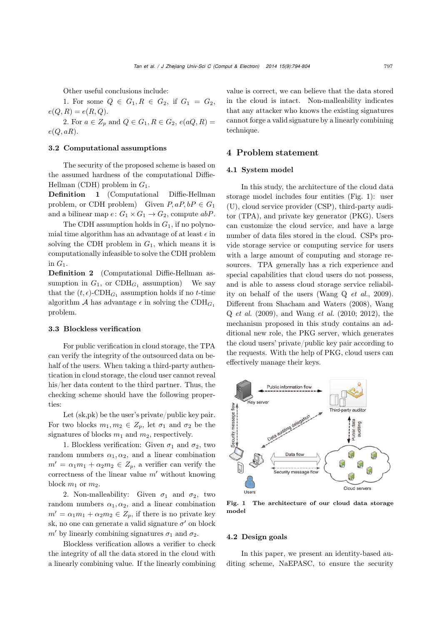Other useful conclusions include:

1. For some  $Q \in G_1, R \in G_2$ , if  $G_1 = G_2$ ,  $e(Q, R) = e(R, Q).$ 

2. For  $a \in Z_p$  and  $Q \in G_1, R \in G_2, e(aQ, R) =$  $e(Q, aR)$ .

## 3.2 Computational assumptions

The security of the proposed scheme is based on the assumed hardness of the computational Diffie-Hellman (CDH) problem in  $G_1$ .

Definition 1 (Computational Diffie-Hellman problem, or CDH problem) Given  $P, aP, bP \in G_1$ and a bilinear map  $e: G_1 \times G_1 \to G_2$ , compute abP.

The CDH assumption holds in  $G_1$ , if no polynomial time algorithm has an advantage of at least  $\epsilon$  in solving the CDH problem in  $G_1$ , which means it is computationally infeasible to solve the CDH problem in  $G_1$ .

Definition 2 (Computational Diffie-Hellman assumption in  $G_1$ , or CDH<sub> $G_1$ </sub> assumption) We say that the  $(t, \epsilon)$ -CDH<sub>*G*1</sub> assumption holds if no *t*-time algorithm A has advantage  $\epsilon$  in solving the CDH<sub>G<sub>1</sub></sub> problem.

# 3.3 Blockless verification

For public verification in cloud storage, the TPA can verify the integrity of the outsourced data on behalf of the users. When taking a third-party authentication in cloud storage, the cloud user cannot reveal his/her data content to the third partner. Thus, the checking scheme should have the following properties:

Let (sk,pk) be the user's private/public key pair. For two blocks  $m_1, m_2 \in Z_p$ , let  $\sigma_1$  and  $\sigma_2$  be the signatures of blocks  $m_1$  and  $m_2$ , respectively.

1. Blockless verification: Given  $\sigma_1$  and  $\sigma_2$ , two random numbers  $\alpha_1, \alpha_2$ , and a linear combination  $m' = \alpha_1 m_1 + \alpha_2 m_2 \in Z_p$ , a verifier can verify the correctness of the linear value  $m'$  without knowing block  $m_1$  or  $m_2$ .

2. Non-malleability: Given  $\sigma_1$  and  $\sigma_2$ , two random numbers  $\alpha_1, \alpha_2$ , and a linear combination  $m' = \alpha_1 m_1 + \alpha_2 m_2 \in Z_p$ , if there is no private key sk, no one can generate a valid signature  $\sigma'$  on block  $m'$  by linearly combining signatures  $\sigma_1$  and  $\sigma_2$ .

Blockless verification allows a verifier to check the integrity of all the data stored in the cloud with a linearly combining value. If the linearly combining value is correct, we can believe that the data stored in the cloud is intact. Non-malleability indicates that any attacker who knows the existing signatures cannot forge a valid signature by a linearly combining technique.

# 4 Problem statement

## 4.1 System model

In this study, the architecture of the cloud data storage model includes four entities (Fig. 1): user (U), cloud service provider (CSP), third-party auditor (TPA), and private key generator (PKG). Users can customize the cloud service, and have a large number of data files stored in the cloud. CSPs provide storage service or computing service for users with a large amount of computing and storage resources. TPA generally has a rich experience and special capabilities that cloud users do not possess, and is able to assess cloud storage service reliability on behalf of the users (Wang Q *et al.*, 2009). Different from Shacham and Waters (2008), Wang Q *et al.* (2009), and Wang *et al.* (2010; 2012), the mechanism proposed in this study contains an additional new role, the PKG server, which generates the cloud users' private/public key pair according to the requests. With the help of PKG, cloud users can effectively manage their keys.



Fig. 1 The architecture of our cloud data storage model

## 4.2 Design goals

In this paper, we present an identity-based auditing scheme, NaEPASC, to ensure the security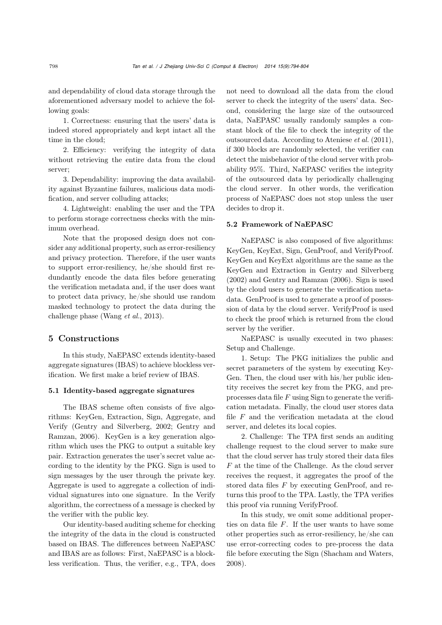and dependability of cloud data storage through the aforementioned adversary model to achieve the following goals:

1. Correctness: ensuring that the users' data is indeed stored appropriately and kept intact all the time in the cloud;

2. Efficiency: verifying the integrity of data without retrieving the entire data from the cloud server;

3. Dependability: improving the data availability against Byzantine failures, malicious data modification, and server colluding attacks;

4. Lightweight: enabling the user and the TPA to perform storage correctness checks with the minimum overhead.

Note that the proposed design does not consider any additional property, such as error-resiliency and privacy protection. Therefore, if the user wants to support error-resiliency, he/she should first redundantly encode the data files before generating the verification metadata and, if the user does want to protect data privacy, he/she should use random masked technology to protect the data during the challenge phase (Wang *et al.*, 2013).

## 5 Constructions

In this study, NaEPASC extends identity-based aggregate signatures (IBAS) to achieve blockless verification. We first make a brief review of IBAS.

#### 5.1 Identity-based aggregate signatures

The IBAS scheme often consists of five algorithms: KeyGen, Extraction, Sign, Aggregate, and Verify (Gentry and Silverberg, 2002; Gentry and Ramzan, 2006). KeyGen is a key generation algorithm which uses the PKG to output a suitable key pair. Extraction generates the user's secret value according to the identity by the PKG. Sign is used to sign messages by the user through the private key. Aggregate is used to aggregate a collection of individual signatures into one signature. In the Verify algorithm, the correctness of a message is checked by the verifier with the public key.

Our identity-based auditing scheme for checking the integrity of the data in the cloud is constructed based on IBAS. The differences between NaEPASC and IBAS are as follows: First, NaEPASC is a blockless verification. Thus, the verifier, e.g., TPA, does

not need to download all the data from the cloud server to check the integrity of the users' data. Second, considering the large size of the outsourced data, NaEPASC usually randomly samples a constant block of the file to check the integrity of the outsourced data. According to Ateniese *et al.* (2011), if 300 blocks are randomly selected, the verifier can detect the misbehavior of the cloud server with probability 95%. Third, NaEPASC verifies the integrity of the outsourced data by periodically challenging the cloud server. In other words, the verification process of NaEPASC does not stop unless the user decides to drop it.

## 5.2 Framework of NaEPASC

NaEPASC is also composed of five algorithms: KeyGen, KeyExt, Sign, GenProof, and VerifyProof. KeyGen and KeyExt algorithms are the same as the KeyGen and Extraction in Gentry and Silverberg (2002) and Gentry and Ramzan (2006). Sign is used by the cloud users to generate the verification metadata. GenProof is used to generate a proof of possession of data by the cloud server. VerifyProof is used to check the proof which is returned from the cloud server by the verifier.

NaEPASC is usually executed in two phases: Setup and Challenge.

1. Setup: The PKG initializes the public and secret parameters of the system by executing Key-Gen. Then, the cloud user with his/her public identity receives the secret key from the PKG, and preprocesses data file  $F$  using Sign to generate the verification metadata. Finally, the cloud user stores data file  $F$  and the verification metadata at the cloud server, and deletes its local copies.

2. Challenge: The TPA first sends an auditing challenge request to the cloud server to make sure that the cloud server has truly stored their data files F at the time of the Challenge. As the cloud server receives the request, it aggregates the proof of the stored data files F by executing GenProof, and returns this proof to the TPA. Lastly, the TPA verifies this proof via running VerifyProof.

In this study, we omit some additional properties on data file  $F$ . If the user wants to have some other properties such as error-resiliency, he/she can use error-correcting codes to pre-process the data file before executing the Sign (Shacham and Waters, 2008).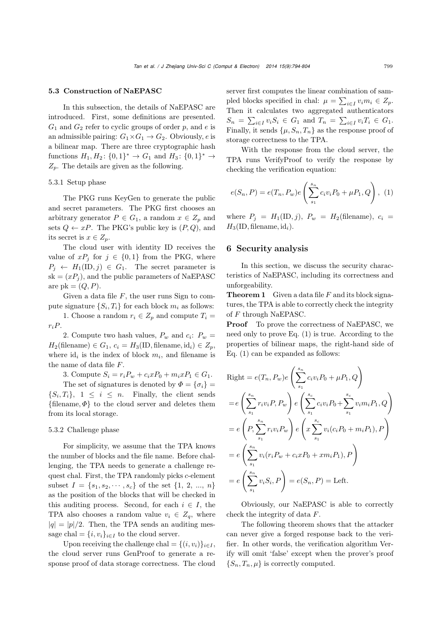#### 5.3 Construction of NaEPASC

In this subsection, the details of NaEPASC are introduced. First, some definitions are presented.  $G_1$  and  $G_2$  refer to cyclic groups of order p, and e is an admissible pairing:  $G_1 \times G_1 \to G_2$ . Obviously, e is a bilinear map. There are three cryptographic hash functions  $H_1, H_2$ :  $\{0,1\}^* \to G_1$  and  $H_3$ :  $\{0,1\}^* \to$  $Z_p$ . The details are given as the following.

## 5.3.1 Setup phase

The PKG runs KeyGen to generate the public and secret parameters. The PKG first chooses an arbitrary generator  $P \in G_1$ , a random  $x \in Z_n$  and sets  $Q \leftarrow xP$ . The PKG's public key is  $(P, Q)$ , and its secret is  $x \in Z_p$ .

The cloud user with identity ID receives the value of  $xP_j$  for  $j \in \{0,1\}$  from the PKG, where  $P_j \leftarrow H_1(\text{ID}, j) \in G_1$ . The secret parameter is  $sk = (xP_i)$ , and the public parameters of NaEPASC are  $pk = (Q, P)$ .

Given a data file  $F$ , the user runs Sign to compute signature  $\{S_i, T_i\}$  for each block  $m_i$  as follows:

1. Choose a random  $r_i \in Z_p$  and compute  $T_i =$  $r_iP$ .

2. Compute two hash values,  $P_w$  and  $c_i$ :  $P_w$  =  $H_2$ (filename)  $\in G_1$ ,  $c_i = H_3$ (ID, filename, id<sub>*i*</sub>)  $\in Z_p$ , where  $id_i$  is the index of block  $m_i$ , and filename is the name of data file F.

3. Compute  $S_i = r_i P_w + c_i x P_0 + m_i x P_1 \in G_1$ .

The set of signatures is denoted by  $\Phi = {\sigma_i}$  $\{S_i, T_i\}, 1 \leq i \leq n$ . Finally, the client sends {filename,  $\Phi$ } to the cloud server and deletes them from its local storage.

## 5.3.2 Challenge phase

For simplicity, we assume that the TPA knows the number of blocks and the file name. Before challenging, the TPA needs to generate a challenge request chal. First, the TPA randomly picks c-element subset  $I = \{s_1, s_2, \dots, s_c\}$  of the set  $\{1, 2, ..., n\}$ as the position of the blocks that will be checked in this auditing process. Second, for each  $i \in I$ , the TPA also chooses a random value  $v_i \in Z_q$ , where  $|q| = |p|/2$ . Then, the TPA sends an auditing message chal =  $\{i, v_i\}_{i \in I}$  to the cloud server.

Upon receiving the challenge chal =  $\{(i, v_i)\}_{i \in I}$ , the cloud server runs GenProof to generate a response proof of data storage correctness. The cloud server first computes the linear combination of sampled blocks specified in chal:  $\mu = \sum_{i \in I} v_i m_i \in Z_p$ . Then it calculates two aggregated authenticators  $S_n = \sum_{i \in I} v_i S_i \in G_1$  and  $T_n = \sum_{i \in I} v_i T_i \in G_1$ . Finally, it sends  $\{\mu, S_n, T_n\}$  as the response proof of storage correctness to the TPA.

With the response from the cloud server, the TPA runs VerifyProof to verify the response by checking the verification equation:

$$
e(S_n, P) = e(T_n, P_w)e\left(\sum_{s_1}^{s_n} c_i v_i P_0 + \mu P_1, Q\right), \tag{1}
$$

where  $P_j = H_1(ID, j)$ ,  $P_w = H_2(filename)$ ,  $c_i =$  $H_3$ (ID, filename, id<sub>*i*</sub>).

# 6 Security analysis

In this section, we discuss the security characteristics of NaEPASC, including its correctness and unforgeability.

**Theorem 1** Given a data file F and its block signatures, the TPA is able to correctly check the integrity of F through NaEPASC.

**Proof** To prove the correctness of NaEPASC, we need only to prove Eq. (1) is true. According to the properties of bilinear maps, the right-hand side of Eq. (1) can be expanded as follows:

Right = 
$$
e(T_n, P_w)e\left(\sum_{s_1}^{s_n} c_i v_i P_0 + \mu P_1, Q\right)
$$
  
\n=  $e\left(\sum_{s_1}^{s_n} r_i v_i P, P_w\right) e\left(\sum_{s_1}^{s_c} c_i v_i P_0 + \sum_{s_1}^{s_c} v_i m_i P_1, Q\right)$   
\n=  $e\left(P, \sum_{s_1}^{s_n} r_i v_i P_w\right) e\left(x \sum_{s_1}^{s_c} v_i (c_i P_0 + m_i P_1), P\right)$   
\n=  $e\left(\sum_{s_1}^{s_n} v_i (r_i P_w + c_i x P_0 + x m_i P_1), P\right)$   
\n=  $e\left(\sum_{s_1}^{s_n} v_i S_i, P\right) = e(S_n, P) = \text{Left.}$ 

Obviously, our NaEPASC is able to correctly check the integrity of data F.

The following theorem shows that the attacker can never give a forged response back to the verifier. In other words, the verification algorithm Verify will omit 'false' except when the prover's proof  $\{S_n, T_n, \mu\}$  is correctly computed.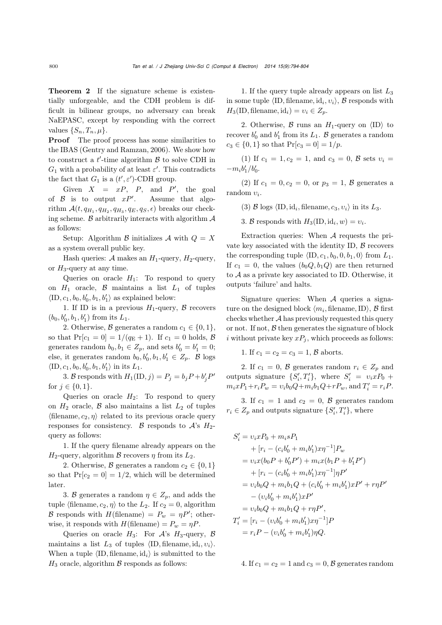Theorem 2 If the signature scheme is existentially unforgeable, and the CDH problem is difficult in bilinear groups, no adversary can break NaEPASC, except by responding with the correct values  $\{S_n, T_n, \mu\}.$ 

**Proof** The proof process has some similarities to the IBAS (Gentry and Ramzan, 2006). We show how to construct a  $t'$ -time algorithm  $\beta$  to solve CDH in  $G_1$  with a probability of at least  $\varepsilon'$ . This contradicts the fact that  $G_1$  is a  $(t', \varepsilon')$ -CDH group.

Given  $X = xP$ ,  $P$ , and  $P'$ , the goal of  $\beta$  is to output  $xP'$ . Assume that algorithm  $\mathcal{A}(t, q_{H_1}, q_{H_2}, q_{H_3}, q_E, q_S, \epsilon)$  breaks our checking scheme.  $\beta$  arbitrarily interacts with algorithm  $\mathcal A$ as follows:

Setup: Algorithm  $\beta$  initializes  $\mathcal A$  with  $Q = X$ as a system overall public key.

Hash queries: A makes an  $H_1$ -query,  $H_2$ -query, or  $H_3$ -query at any time.

Queries on oracle  $H_1$ : To respond to query on  $H_1$  oracle,  $\beta$  maintains a list  $L_1$  of tuples  $\langle \text{ID}, c_1, b_0, b'_0, b_1, b'_1 \rangle$  as explained below:

1. If ID is in a previous  $H_1$ -query,  $\beta$  recovers  $(b_0, b'_0, b_1, b'_1)$  from its  $L_1$ .

2. Otherwise, B generates a random  $c_1 \in \{0, 1\}$ , so that  $Pr[c_1 = 0] = 1/(q_E + 1)$ . If  $c_1 = 0$  holds,  $\beta$ generates random  $b_0, b_1 \in Z_p$ , and sets  $b'_0 = b'_1 = 0$ ; else, it generates random  $b_0, b'_0, b_1, b'_1 \in Z_p$ . B logs  $\langle \text{ID}, c_1, b_0, b'_0, b_1, b'_1 \rangle$  in its  $L_1$ .

3. B responds with  $H_1(\text{ID}, j) = P_j = b_j P + b'_j P'$ for  $j \in \{0, 1\}$ .

Queries on oracle  $H_2$ : To respond to query on  $H_2$  oracle,  $\beta$  also maintains a list  $L_2$  of tuples  $\langle$ filename,  $c_2$ ,  $\eta$  related to its previous oracle query responses for consistency. B responds to  $A$ 's  $H_2$ query as follows:

1. If the query filename already appears on the  $H_2$ -query, algorithm  $\beta$  recovers  $\eta$  from its  $L_2$ .

2. Otherwise, B generates a random  $c_2 \in \{0, 1\}$ so that  $Pr[c_2 = 0] = 1/2$ , which will be determined later.

3. B generates a random  $\eta \in Z_p$ , and adds the tuple (filename,  $c_2$ ,  $\eta$ ) to the  $L_2$ . If  $c_2 = 0$ , algorithm B responds with  $H(\text{filename}) = P_w = \eta P'$ ; otherwise, it responds with  $H(\text{filename}) = P_w = \eta P$ .

Queries on oracle  $H_3$ : For  $A$ 's  $H_3$ -query,  $\beta$ maintains a list  $L_3$  of tuples  $\langle \text{ID}, \text{filename}, \text{id}_i, v_i \rangle$ . When a tuple  $\langle$ ID, filename, id<sub>*i*</sub> $\rangle$  is submitted to the  $H_3$  oracle, algorithm  $\beta$  responds as follows:

1. If the query tuple already appears on list  $L_3$ in some tuple  $\langle$ ID, filename, id<sub>*i*</sub>,  $v_i$ </sub>,  $\beta$  responds with  $H_3(\text{ID}, \text{filename}, \text{id}_i) = v_i \in Z_n.$ 

2. Otherwise,  $\beta$  runs an  $H_1$ -query on  $\langle \text{ID} \rangle$  to recover  $b'_0$  and  $b'_1$  from its  $L_1$ . B generates a random  $c_3 \in \{0, 1\}$  so that  $Pr[c_3 = 0] = 1/p$ .

(1) If  $c_1 = 1, c_2 = 1$ , and  $c_3 = 0$ ,  $\beta$  sets  $v_i =$  $-m_i b'_1/b'_0.$ 

(2) If  $c_1 = 0, c_2 = 0$ , or  $p_3 = 1, B$  generates a random υ*i*.

(3) B logs  $\langle \text{ID}, \text{id}_i, \text{filename}, c_3, v_i \rangle$  in its  $L_3$ .

3. B responds with  $H_3(\text{ID}, \text{id}_i, w) = v_i$ .

Extraction queries: When A requests the private key associated with the identity ID,  $\beta$  recovers the corresponding tuple  $\langle \text{ID}, c_1, b_0, 0, b_1, 0 \rangle$  from  $L_1$ . If  $c_1 = 0$ , the values  $(b_0Q, b_1Q)$  are then returned to  $A$  as a private key associated to ID. Otherwise, it outputs 'failure' and halts.

Signature queries: When  $A$  queries a signature on the designed block  $\langle m_i, \text{filename}, \text{ID} \rangle$ ,  $\beta$  first checks whether  $A$  has previously requested this query or not. If not,  $\beta$  then generates the signature of block i without private key  $xP_j$ , which proceeds as follows:

1. If  $c_1 = c_2 = c_3 = 1, B$  aborts.

2. If  $c_1 = 0$ ,  $\beta$  generates random  $r_i \in Z_p$  and outputs signature  $\{S'_i, T'_i\}$ , where  $S'_i = v_i x P_0 +$  $m_i x P_1 + r_i P_w = v_i b_0 Q + m_i b_1 Q + r P_w$ , and  $T'_i = r_i P$ .

3. If  $c_1 = 1$  and  $c_2 = 0$ ,  $\beta$  generates random  $r_i \in Z_p$  and outputs signature  $\{S'_i, T'_i\}$ , where

$$
S'_{i} = v_{i}xP_{0} + m_{i}sP_{1}
$$
  
+  $[r_{i} - (c_{i}b'_{0} + m_{i}b'_{1})x\eta^{-1}]P_{w}$   
=  $v_{i}x(b_{0}P + b'_{0}P') + m_{i}x(b_{1}P + b'_{1}P')$   
+  $[r_{i} - (c_{i}b'_{0} + m_{i}b'_{1})x\eta^{-1}]\eta P'$   
=  $v_{i}b_{0}Q + m_{i}b_{1}Q + (c_{i}b'_{0} + m_{i}b'_{1})xP' + r\eta P'$   
-  $(v_{i}b'_{0} + m_{i}b'_{1})xP'$   
=  $v_{i}b_{0}Q + m_{i}b_{1}Q + r\eta P',$   
 $T'_{i} = [r_{i} - (v_{i}b'_{0} + m_{i}b'_{1})x\eta^{-1}]P$   
=  $r_{i}P - (v_{i}b'_{0} + m_{i}b'_{1})\eta Q.$ 

4. If  $c_1 = c_2 = 1$  and  $c_3 = 0$ ,  $\beta$  generates random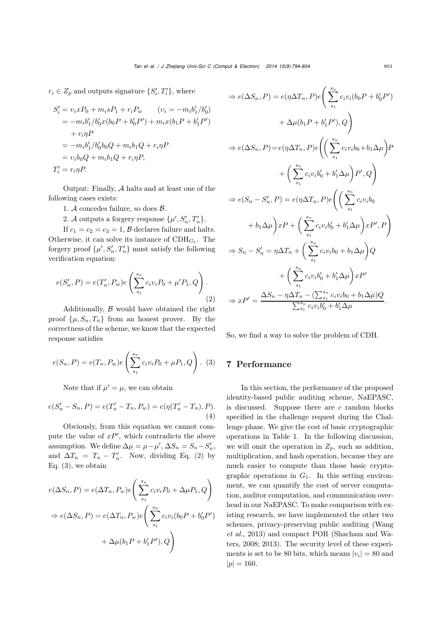$r_i \in Z_p$  and outputs signature  $\{S'_i, T'_i\}$ , where

$$
S'_{i} = v_{i}xP_{0} + m_{i}sP_{1} + r_{i}P_{w} \t (v_{i} = -m_{i}b'_{1}/b'_{0})
$$
  
=  $-m_{i}b'_{1}/b'_{0}x(b_{0}P + b'_{0}P') + m_{i}x(b_{1}P + b'_{1}P')$   
+  $r_{i}\eta P$   
=  $-m_{i}b'_{1}/b'_{0}b_{0}Q + m_{i}b_{1}Q + r_{i}\eta P$   
=  $v_{i}b_{0}Q + m_{i}b_{1}Q + r_{i}\eta P$ ,  
 $T'_{i} = r_{i}\eta P$ .

Output: Finally, A halts and at least one of the following cases exists:

1. A concedes failure, so does B.

2. *A* outputs a forgery response  $\{\mu', S'_n, T'_n\}.$ 

If  $c_1 = c_2 = c_3 = 1$ ,  $\beta$  declares failure and halts. Otherwise, it can solve its instance of  $CDH<sub>G1</sub>$ . The forgery proof  $\{\mu', S_n', T_n'\}$  must satisfy the following verification equation:

$$
e(S'_n, P) = e(T'_n, P_w)e\left(\sum_{s_1}^{s_n} c_i v_i P_0 + \mu' P_1, Q\right).
$$
\n(2)

Additionally,  $\beta$  would have obtained the right proof  $\{\mu, S_n, T_n\}$  from an honest prover. By the correctness of the scheme, we know that the expected response satisfies

$$
e(S_n, P) = e(T_n, P_w)e\left(\sum_{s_1}^{s_n} c_i v_i P_0 + \mu P_1, Q\right).
$$
 (3)

Note that if  $\mu' = \mu$ , we can obtain

$$
e(S'_n - S_n, P) = e(T'_n - T_n, P_w) = e(\eta(T'_n - T_n), P).
$$
\n(4)

Obviously, from this equation we cannot compute the value of  $xP'$ , which contradicts the above assumption. We define  $\Delta \mu = \mu - \mu'$ ,  $\Delta S_n = S_n - S'_n$ , and  $\Delta T_n = T_n - T'_n$ . Now, dividing Eq. (2) by Eq.  $(3)$ , we obtain

$$
e(\Delta S_n, P) = e(\Delta T_n, P_w)e\left(\sum_{s_1}^{s_n} c_i v_i P_0 + \Delta \mu P_1, Q\right)
$$

$$
\Rightarrow e(\Delta S_n, P) = e(\Delta T_n, P_w)e\left(\sum_{s_1}^{s_n} c_i v_i (b_0 P + b'_0 P')\right)
$$

$$
+ \Delta \mu (b_1 P + b'_1 P'), Q
$$

$$
\Rightarrow e(\Delta S_n, P) = e(\eta \Delta T_n, P)e\left(\sum_{s_1}^{s_n} c_i v_i (b_0 P + b'_0 P')\right)
$$

$$
+ \Delta \mu (b_1 P + b'_1 P'), Q
$$

$$
\Rightarrow e(\Delta S_n, P) = e(\eta \Delta T_n, P)e\left(\left(\sum_{s_1}^{s_n} c_i v_i b_0 + b_1 \Delta \mu\right) P + \left(\sum_{s_1}^{s_n} c_i v_i b'_0 + b'_1 \Delta \mu\right) P', Q\right)
$$

$$
\Rightarrow e(S_n - S'_n, P) = e(\eta \Delta T_n, P)e\left(\left(\sum_{s_1}^{s_n} c_i v_i b_0
$$

$$
+ b_1 \Delta \mu\right) x P + \left(\sum_{s_1}^{s_n} c_i v_i b'_0 + b'_1 \Delta \mu\right) x P', P\right)
$$

$$
\Rightarrow S_n - S'_n = \eta \Delta T_n + \left(\sum_{s_1}^{s_n} c_i v_i b_0 + b_1 \Delta \mu\right) Q
$$

$$
+ \left(\sum_{s_1}^{s_n} c_i v_i b'_0 + b'_1 \Delta \mu\right) x P'
$$

$$
\Rightarrow x P' = \frac{\Delta S_n - \eta \Delta T_n - (\sum_{s_1}^{s_n} c_i v_i b_0 + b_1 \Delta \mu) Q}{\sum_{s_1}^{s_n} c_i v_i b'_0 + b'_1 \Delta \mu}.
$$

So, we find a way to solve the problem of CDH.

# 7 Performance

In this section, the performance of the proposed identity-based public auditing scheme, NaEPASC, is discussed. Suppose there are  $c$  random blocks specified in the challenge request during the Challenge phase. We give the cost of basic cryptographic operations in Table 1. In the following discussion, we will omit the operation in  $Z_p$ , such as addition, multiplication, and hash operation, because they are much easier to compute than those basic cryptographic operations in  $G_1$ . In this setting environment, we can quantify the cost of server computation, auditor computation, and communication overhead in our NaEPASC. To make comparison with existing research, we have implemented the other two schemes, privacy-preserving public auditing (Wang *et al.*, 2013) and compact POR (Shacham and Waters, 2008; 2013). The security level of these experiments is set to be 80 bits, which means  $|v_i| = 80$  and  $|p| = 160.$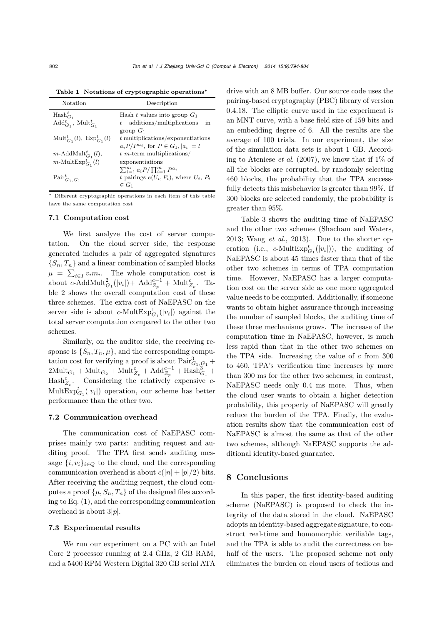Table 1 Notations of cryptographic operations*∗*

| Notation                                              | Description                                       |  |  |  |
|-------------------------------------------------------|---------------------------------------------------|--|--|--|
| $\text{Hash}_{G_1}^t$                                 | Hash t values into group $G_1$                    |  |  |  |
| $\text{Add}_{G_1}^t$ , $\text{Mult}_{G_1}^t$          | $t$ additions/multiplications<br>in               |  |  |  |
|                                                       | group $G_1$                                       |  |  |  |
| $\mathrm{Mult}_{G_1}^t(l), \ \mathrm{Exp}_{G_1}^t(l)$ | $t$ multiplications/exponentiations               |  |  |  |
|                                                       | $a_i P / P^{a_i}$ , for $P \in G_1$ , $ a_i  = l$ |  |  |  |
| $m$ -AddMult $_{G_1}^t(l)$ ,                          | $t$ m-term multiplications/                       |  |  |  |
| $m\text{-MultExp}^t_{G_1}(l)$                         | exponentiations                                   |  |  |  |
|                                                       | $\sum_{i=1}^m a_i P / \prod_{i=1}^m P^{a_i}$      |  |  |  |
| $\text{Pair}_{G_1, G_1}^t$                            | t pairings $e(U_i, P_i)$ , where $U_i, P_i$       |  |  |  |
|                                                       | $\in G_1$                                         |  |  |  |

∗ Different cryptographic operations in each item of this table have the same computation cost

## 7.1 Computation cost

We first analyze the cost of server computation. On the cloud server side, the response generated includes a pair of aggregated signatures  ${S_n, T_n}$  and a linear combination of sampled blocks  $\mu = \sum_{i \in I} v_i m_i$ . The whole computation cost is about  $c$ -AddMult<sup>2</sup><sub>*G*<sub>1</sub></sub>(|v<sub>*i*</sub>|)+ Add<sup>*c*<sub>*Z*</sub><sup>*p*</sup> + Mult<sup>*c*</sup><sub>*Z*<sub>*p*</sub></sub>. Ta-</sup> ble 2 shows the overall computation cost of these three schemes. The extra cost of NaEPASC on the server side is about  $c$ -Mult $Exp_{G_1}^1(|v_i|)$  against the total server computation compared to the other two schemes.

Similarly, on the auditor side, the receiving response is  $\{S_n, T_n, \mu\}$ , and the corresponding computation cost for verifying a proof is about  $\text{Pair}_{G_1,G_1}^3 +$  $2\text{Mult}_{G_1} + \text{Mult}_{G_2} + \text{Mult}_{Z_p}^c + \text{Add}_{Z_p}^{c-1} + \text{Hash}_{G_1}^3 +$  $\text{Hash}_{Z_p}^c$ . Considering the relatively expensive c- $\text{MultExp}^t_{G_1}(|v_i|)$  operation, our scheme has better performance than the other two.

# 7.2 Communication overhead

The communication cost of NaEPASC comprises mainly two parts: auditing request and auditing proof. The TPA first sends auditing message  $\{i, v_i\}_{i \in Q}$  to the cloud, and the corresponding communication overhead is about  $c(|n|+|p|/2)$  bits. After receiving the auditing request, the cloud computes a proof  $\{\mu, S_n, T_n\}$  of the designed files according to Eq. (1), and the corresponding communication overhead is about  $3|p|$ .

## 7.3 Experimental results

We run our experiment on a PC with an Intel Core 2 processor running at 2.4 GHz, 2 GB RAM, and a 5400 RPM Western Digital 320 GB serial ATA drive with an 8 MB buffer. Our source code uses the pairing-based cryptography (PBC) library of version 0.4.18. The elliptic curve used in the experiment is an MNT curve, with a base field size of 159 bits and an embedding degree of 6. All the results are the average of 100 trials. In our experiment, the size of the simulation data sets is about 1 GB. According to Ateniese *et al.* (2007), we know that if 1% of all the blocks are corrupted, by randomly selecting 460 blocks, the probability that the TPA successfully detects this misbehavior is greater than 99%. If 300 blocks are selected randomly, the probability is greater than 95%.

Table 3 shows the auditing time of NaEPASC and the other two schemes (Shacham and Waters, 2013; Wang *et al.*, 2013). Due to the shorter operation (i.e.,  $c$ -Mult $Exp_{G_1}^t(|v_i|)$ ), the auditing of NaEPASC is about 45 times faster than that of the other two schemes in terms of TPA computation time. However, NaEPASC has a larger computation cost on the server side as one more aggregated value needs to be computed. Additionally, if someone wants to obtain higher assurance through increasing the number of sampled blocks, the auditing time of these three mechanisms grows. The increase of the computation time in NaEPASC, however, is much less rapid than that in the other two schemes on the TPA side. Increasing the value of  $c$  from 300 to 460, TPA's verification time increases by more than 300 ms for the other two schemes; in contrast, NaEPASC needs only 0.4 ms more. Thus, when the cloud user wants to obtain a higher detection probability, this property of NaEPASC will greatly reduce the burden of the TPA. Finally, the evaluation results show that the communication cost of NaEPASC is almost the same as that of the other two schemes, although NaEPASC supports the additional identity-based guarantee.

# 8 Conclusions

In this paper, the first identity-based auditing scheme (NaEPASC) is proposed to check the integrity of the data stored in the cloud. NaEPASC adopts an identity-based aggregate signature, to construct real-time and homomorphic verifiable tags, and the TPA is able to audit the correctness on behalf of the users. The proposed scheme not only eliminates the burden on cloud users of tedious and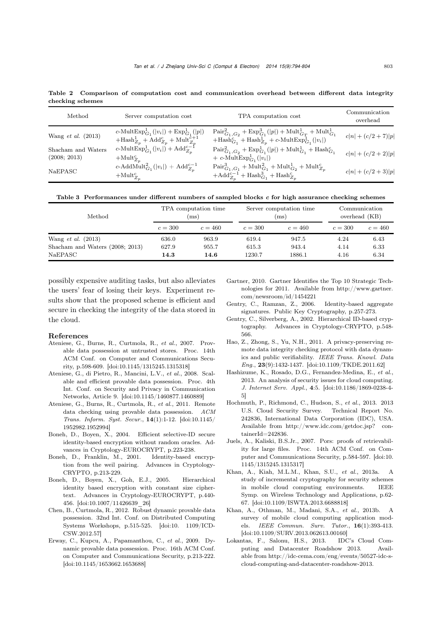Table 2 Comparison of computation cost and communication overhead between different data integrity checking schemes

| Method                             | Server computation cost                                                                                                                           | TPA computation cost                                                                                                                                                               | Communication<br>overhead |
|------------------------------------|---------------------------------------------------------------------------------------------------------------------------------------------------|------------------------------------------------------------------------------------------------------------------------------------------------------------------------------------|---------------------------|
| Wang $et$ al. $(2013)$             | c-Mult $\mathrm{Exp}^1_{G_1}( v_i ) + \mathrm{Exp}^1_{G_1}( p )$<br>$+\text{Hash}_{Z_p}^1 + \text{Add}_{Z_p}^c + \text{Mult}_{Z_p}^{\tilde{c}+1}$ | $\text{Pair}_{G_1, G_2}^2 + \text{Exp}_{G_1}^3( p ) + \text{Mult}_{G_T}^1 + \text{Mult}_{G_1}^1$<br>$+\text{Hash}_{G_1}^c + \text{Hash}_{Z_p}^1 + c\text{-MultExp}_{G_1}^1( v_i )$ | $c n  + (c/2 + 7) p $     |
| Shacham and Waters<br>(2008; 2013) | $c\text{-MultExp}^1_{G_1}( v_i ) + \text{Add}_{Z_n}^{c-1}$<br>$+\mathrm{Mult}_{Z_n}^c$                                                            | $\text{Pair}_{G_1, G_2}^2 + \text{Exp}_{G_1}^1( p ) + \text{Mult}_{G_1}^1 + \text{Hash}_{G_1}^c$<br>$+ c$ -Mult $\mathrm{Exp}^1_{G_1}( v_i )$                                      | $c n  + (c/2 + 2) p $     |
| <b>NaEPASC</b>                     | $c\text{-AddMult}_{G_1}^2( v_i ) + \text{Add}_{Z_n}^{c-1}$<br>$+\mathrm{Mult}_{Z_n}^c$                                                            | $\text{Pair}^{3}_{G_1, G_1} + \text{Mult}^{2}_{G_1} + \text{Mult}^{1}_{G_2} + \text{Mult}^{c}_{Z_p}$<br>$+\mathrm{Add}_{Z_p}^{c-1}+\mathrm{Hash}_{G_1}^3+\mathrm{Hash}_{Z_p}^c$    | $c n  + (c/2 + 3) p $     |

Table 3 Performances under different numbers of sampled blocks *c* for high assurance checking schemes

| Method                          | TPA computation time |           | Server computation time |           | Communication |           |
|---------------------------------|----------------------|-----------|-------------------------|-----------|---------------|-----------|
|                                 | $\rm (ms)$           |           | $\rm (ms)$              |           | overhead (KB) |           |
|                                 | $c = 300$            | $c = 460$ | $c = 300$               | $c = 460$ | $c = 300$     | $c = 460$ |
| Wang <i>et al.</i> $(2013)$     | 636.0                | 963.9     | 619.4                   | 947.5     | 4.24          | 6.43      |
| Shacham and Waters (2008; 2013) | 627.9                | 955.7     | 615.3                   | 943.4     | 4.14          | 6.33      |
| NaEPASC                         | 14.3                 | 14.6      | 1230.7                  | 1886.1    | 4.16          | 6.34      |

possibly expensive auditing tasks, but also alleviates the users' fear of losing their keys. Experiment results show that the proposed scheme is efficient and secure in checking the integrity of the data stored in the cloud.

## References

- Ateniese, G., Burns, R., Curtmola, R., *et al.*, 2007. Provable data possession at untrusted stores. Proc. 14th ACM Conf. on Computer and Communications Security, p.598-609. [doi:10.1145/1315245.1315318]
- Ateniese, G., di Pietro, R., Mancini, L.V., *et al.*, 2008. Scalable and efficient provable data possession. Proc. 4th Int. Conf. on Security and Privacy in Communication Networks, Article 9. [doi:10.1145/1460877.1460889]
- Ateniese, G., Burns, R., Curtmola, R., *et al.*, 2011. Remote data checking using provable data possession. *ACM Trans. Inform. Syst. Secur.*, <sup>14</sup>(1):1-12. [doi:10.1145/ 1952982.1952994]
- Boneh, D., Boyen, X., 2004. Efficient selective-ID secure identity-based encryption without random oracles. Advances in Cryptology-EUROCRYPT, p.223-238.
- Boneh, D., Franklin, M., 2001. Identity-based encryption from the weil pairing. Advances in Cryptology-CRYPTO, p.213-229.
- Boneh, D., Boyen, X., Goh, E.J., 2005. Hierarchical identity based encryption with constant size ciphertext. Advances in Cryptology-EUROCRYPT, p.440- 456. [doi:10.1007/11426639\_26]
- Chen, B., Curtmola, R., 2012. Robust dynamic provable data possession. 32nd Int. Conf. on Distributed Computing Systems Workshops, p.515-525. [doi:10. 1109/ICD-CSW.2012.57]
- Erway, C., Kupcu, A., Papamanthou, C., *et al.*, 2009. Dynamic provable data possession. Proc. 16th ACM Conf. on Computer and Communications Security, p.213-222. [doi:10.1145/1653662.1653688]
- Gartner, 2010. Gartner Identifies the Top 10 Strategic Technologies for 2011. Available from http://www.gartner. com/newsroom/id/1454221
- Gentry, C., Ramzan, Z., 2006. Identity-based aggregate signatures. Public Key Cryptography, p.257-273.
- Gentry, C., Silverberg, A., 2002. Hierarchical ID-based cryptography. Advances in Cryptology-CRYPTO, p.548- 566.
- Hao, Z., Zhong, S., Yu, N.H., 2011. A privacy-preserving remote data integrity checking protocol with data dynamics and public verifiability. *IEEE Trans. Knowl. Data Eng.*, <sup>23</sup>(9):1432-1437. [doi:10.1109/TKDE.2011.62]
- Hashizume, K., Rosado, D.G., Fernandez-Medina, E., *et al.*, 2013. An analysis of security issues for cloud computing. *J. Internet Serv. Appl.*, <sup>4</sup>:5. [doi:10.1186/1869-0238-4- 5]
- Hochmuth, P., Richmond, C., Hudson, S., *et al.*, 2013. 2013 U.S. Cloud Security Survey. 242836, International Data Corporation (IDC), USA. Available from http://www.idc.com/getdoc.jsp? con $tainerId=242836.$
- Juels, A., Kaliski, B.S.Jr., 2007. Pors: proofs of retrievability for large files. Proc. 14th ACM Conf. on Computer and Communications Security, p.584-597. [doi:10. 1145/1315245.1315317]
- Khan, A., Kiah, M.L.M., Khan, S.U., *et al.*, 2013a. A study of incremental cryptography for security schemes in mobile cloud computing environments. IEEE Symp. on Wireless Technology and Applications, p.62- 67. [doi:10.1109/ISWTA.2013.6688818]
- Khan, A., Othman, M., Madani, S.A., *et al.*, 2013b. A survey of mobile cloud computing application models. *IEEE Commun. Surv. Tutor.*, <sup>16</sup>(1):393-413. [doi:10.1109/SURV.2013.062613.00160]
- Lokantas, F., Salonu, H.S., 2013. IDC's Cloud Computing and Datacenter Roadshow 2013. Available from http://idc-cema.com/eng/events/50527-idc-scloud-computing-and-datacenter-roadshow-2013.